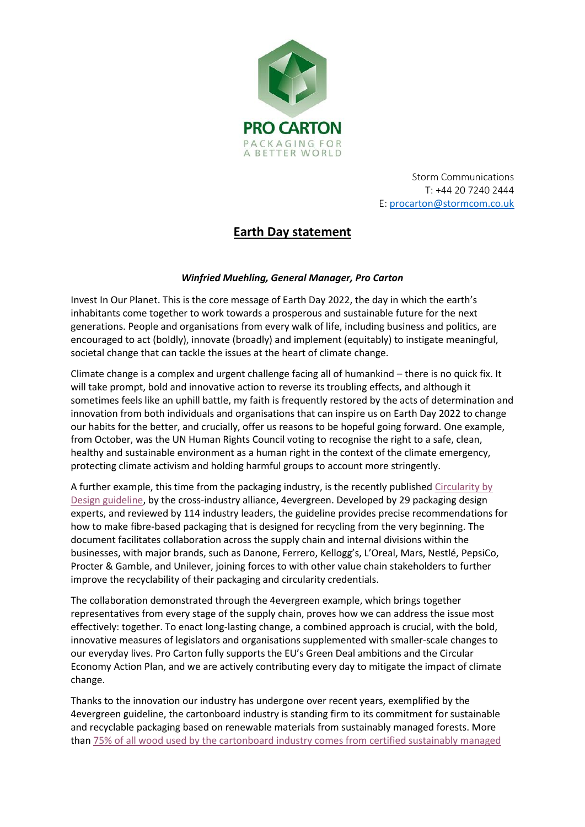

Storm Communications T: +44 20 7240 2444 E: [procarton@stormcom.co.uk](mailto:procarton@stormcom.co.uk)

# **Earth Day statement**

# *Winfried Muehling, General Manager, Pro Carton*

Invest In Our Planet. This is the core message of Earth Day 2022, the day in which the earth's inhabitants come together to work towards a prosperous and sustainable future for the next generations. People and organisations from every walk of life, including business and politics, are encouraged to act (boldly), innovate (broadly) and implement (equitably) to instigate meaningful, societal change that can tackle the issues at the heart of climate change.

Climate change is a complex and urgent challenge facing all of humankind – there is no quick fix. It will take prompt, bold and innovative action to reverse its troubling effects, and although it sometimes feels like an uphill battle, my faith is frequently restored by the acts of determination and innovation from both individuals and organisations that can inspire us on Earth Day 2022 to change our habits for the better, and crucially, offer us reasons to be hopeful going forward. One example, from October, was the UN Human Rights Council voting to recognise the right to a safe, clean, healthy and sustainable environment as a human right in the context of the climate emergency, protecting climate activism and holding harmful groups to account more stringently.

A further example, this time from the packaging industry, is the recently publishe[d Circularity by](https://4evergreenforum.eu/wp-content/uploads/4evergreen-Circularity-by-Design-2.pdf)  [Design guideline,](https://4evergreenforum.eu/wp-content/uploads/4evergreen-Circularity-by-Design-2.pdf) by the cross-industry alliance, 4evergreen. Developed by 29 packaging design experts, and reviewed by 114 industry leaders, the guideline provides precise recommendations for how to make fibre-based packaging that is designed for recycling from the very beginning. The document facilitates collaboration across the supply chain and internal divisions within the businesses, with major brands, such as Danone, Ferrero, Kellogg's, L'Oreal, Mars, Nestlé, PepsiCo, Procter & Gamble, and Unilever, joining forces to with other value chain stakeholders to further improve the recyclability of their packaging and circularity credentials.

The collaboration demonstrated through the 4evergreen example, which brings together representatives from every stage of the supply chain, proves how we can address the issue most effectively: together. To enact long-lasting change, a combined approach is crucial, with the bold, innovative measures of legislators and organisations supplemented with smaller-scale changes to our everyday lives. Pro Carton fully supports the EU's Green Deal ambitions and the Circular Economy Action Plan, and we are actively contributing every day to mitigate the impact of climate change.

Thanks to the innovation our industry has undergone over recent years, exemplified by the 4evergreen guideline, the cartonboard industry is standing firm to its commitment for sustainable and recyclable packaging based on renewable materials from sustainably managed forests. More than [75% of all wood used by the cartonboard industry comes from certified sustainably managed](https://www.procarton.com/wp-content/uploads/2021/05/2021-Cartons-and-Sustainable-Forests.pdf)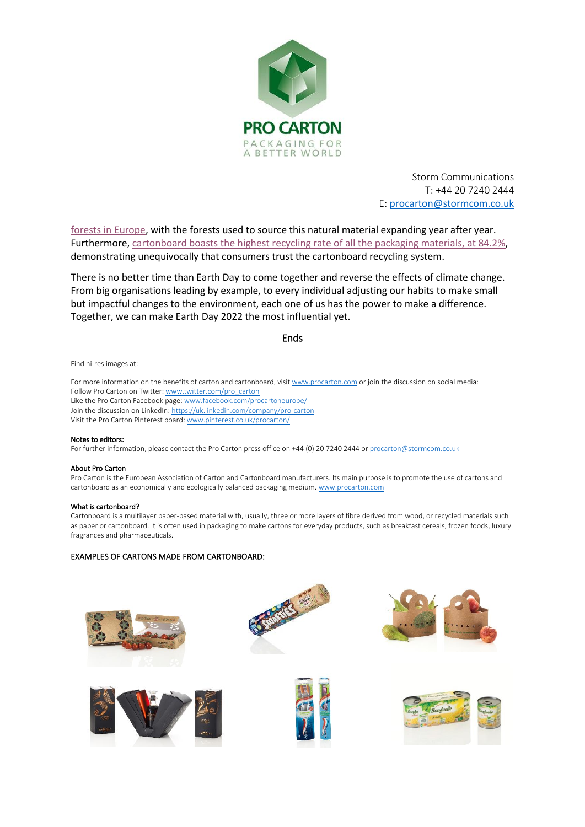

Storm Communications T: +44 20 7240 2444 E: [procarton@stormcom.co.uk](mailto:procarton@stormcom.co.uk)

[forests in Europe,](https://www.procarton.com/wp-content/uploads/2021/05/2021-Cartons-and-Sustainable-Forests.pdf) with the forests used to source this natural material expanding year after year. Furthermore[, cartonboard boasts the highest recycling rate of all the packaging materials, at 84.2%,](https://ec.europa.eu/eurostat/statistics-explained/index.php?title=Packaging_waste_statistics&oldid=548993) demonstrating unequivocally that consumers trust the cartonboard recycling system.

There is no better time than Earth Day to come together and reverse the effects of climate change. From big organisations leading by example, to every individual adjusting our habits to make small but impactful changes to the environment, each one of us has the power to make a difference. Together, we can make Earth Day 2022 the most influential yet.

Ends

Find hi-res images at:

For more information on the benefits of carton and cartonboard, visi[t www.procarton.com](http://www.procarton.com/) or join the discussion on social media: Follow Pro Carton on Twitter[: www.twitter.com/pro\\_carton](http://www.twitter.com/pro_carton) Like the Pro Carton Facebook page[: www.facebook.com/procartoneurope/](https://www.facebook.com/procartoneurope/) Join the discussion on LinkedIn[: https://uk.linkedin.com/company/pro-carton](https://uk.linkedin.com/company/pro-carton) Visit the Pro Carton Pinterest board[: www.pinterest.co.uk/procarton/](https://www.pinterest.co.uk/procarton/)

### Notes to editors:

For further information, please contact the Pro Carton press office on +44 (0) 20 7240 2444 o[r procarton@stormcom.co.uk](mailto:procarton@stormcom.co.uk)

#### About Pro Carton

Pro Carton is the European Association of Carton and Cartonboard manufacturers. Its main purpose is to promote the use of cartons and cartonboard as an economically and ecologically balanced packaging medium. www.procarton.com

#### What is cartonboard?

Cartonboard is a multilayer paper-based material with, usually, three or more layers of fibre derived from wood, or recycled materials such as paper or cartonboard. It is often used in packaging to make cartons for everyday products, such as breakfast cereals, frozen foods, luxury fragrances and pharmaceuticals.

## EXAMPLES OF CARTONS MADE FROM CARTONBOARD: